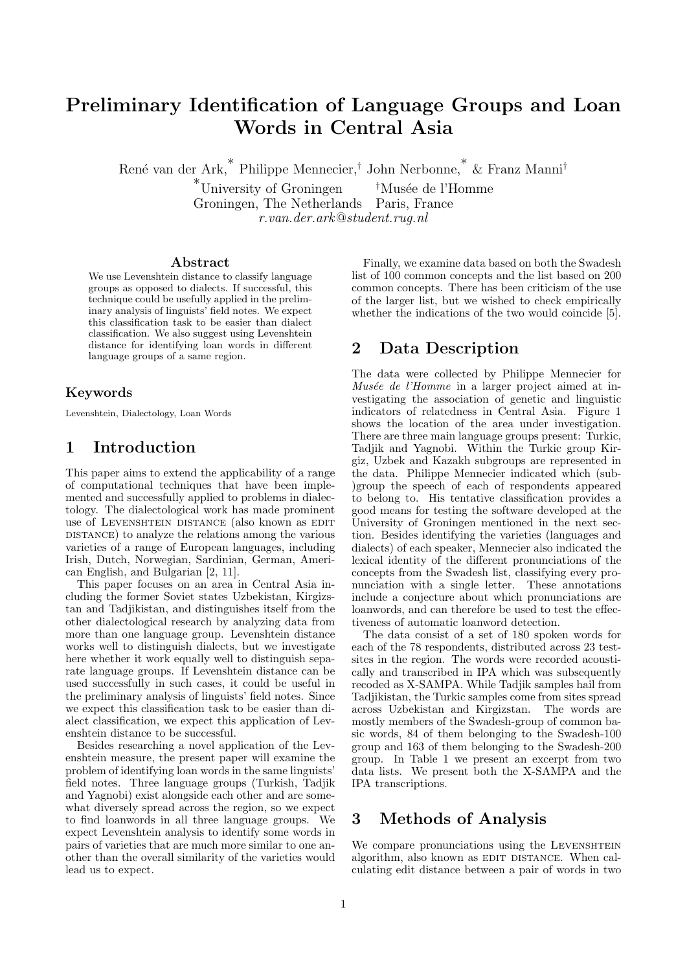# Preliminary Identification of Language Groups and Loan Words in Central Asia

Ren´e van der Ark,\* Philippe Mennecier,† John Nerbonne,\* & Franz Manni†

 $*$ University of Groningen  $*$ Musée de l'Homme Groningen, The Netherlands Paris, France r.van.der.ark@student.rug.nl

#### Abstract

We use Levenshtein distance to classify language groups as opposed to dialects. If successful, this technique could be usefully applied in the preliminary analysis of linguists' field notes. We expect this classification task to be easier than dialect classification. We also suggest using Levenshtein distance for identifying loan words in different language groups of a same region.

## Keywords

Levenshtein, Dialectology, Loan Words

# 1 Introduction

This paper aims to extend the applicability of a range of computational techniques that have been implemented and successfully applied to problems in dialectology. The dialectological work has made prominent use of LEVENSHTEIN DISTANCE (also known as EDIT DISTANCE) to analyze the relations among the various varieties of a range of European languages, including Irish, Dutch, Norwegian, Sardinian, German, American English, and Bulgarian [2, 11].

This paper focuses on an area in Central Asia including the former Soviet states Uzbekistan, Kirgizstan and Tadjikistan, and distinguishes itself from the other dialectological research by analyzing data from more than one language group. Levenshtein distance works well to distinguish dialects, but we investigate here whether it work equally well to distinguish separate language groups. If Levenshtein distance can be used successfully in such cases, it could be useful in the preliminary analysis of linguists' field notes. Since we expect this classification task to be easier than dialect classification, we expect this application of Levenshtein distance to be successful.

Besides researching a novel application of the Levenshtein measure, the present paper will examine the problem of identifying loan words in the same linguists' field notes. Three language groups (Turkish, Tadjik and Yagnobi) exist alongside each other and are somewhat diversely spread across the region, so we expect to find loanwords in all three language groups. We expect Levenshtein analysis to identify some words in pairs of varieties that are much more similar to one another than the overall similarity of the varieties would lead us to expect.

Finally, we examine data based on both the Swadesh list of 100 common concepts and the list based on 200 common concepts. There has been criticism of the use of the larger list, but we wished to check empirically whether the indications of the two would coincide [5].

# 2 Data Description

The data were collected by Philippe Mennecier for  $Mus\acute{e}e$  de l'Homme in a larger project aimed at investigating the association of genetic and linguistic indicators of relatedness in Central Asia. Figure 1 shows the location of the area under investigation. There are three main language groups present: Turkic, Tadjik and Yagnobi. Within the Turkic group Kirgiz, Uzbek and Kazakh subgroups are represented in the data. Philippe Mennecier indicated which (sub- )group the speech of each of respondents appeared to belong to. His tentative classification provides a good means for testing the software developed at the University of Groningen mentioned in the next section. Besides identifying the varieties (languages and dialects) of each speaker, Mennecier also indicated the lexical identity of the different pronunciations of the concepts from the Swadesh list, classifying every pronunciation with a single letter. These annotations include a conjecture about which pronunciations are loanwords, and can therefore be used to test the effectiveness of automatic loanword detection.

The data consist of a set of 180 spoken words for each of the 78 respondents, distributed across 23 testsites in the region. The words were recorded acoustically and transcribed in IPA which was subsequently recoded as X-SAMPA. While Tadjik samples hail from Tadjikistan, the Turkic samples come from sites spread across Uzbekistan and Kirgizstan. The words are mostly members of the Swadesh-group of common basic words, 84 of them belonging to the Swadesh-100 group and 163 of them belonging to the Swadesh-200 group. In Table 1 we present an excerpt from two data lists. We present both the X-SAMPA and the IPA transcriptions.

# 3 Methods of Analysis

We compare pronunciations using the LEVENSHTEIN algorithm, also known as EDIT DISTANCE. When calculating edit distance between a pair of words in two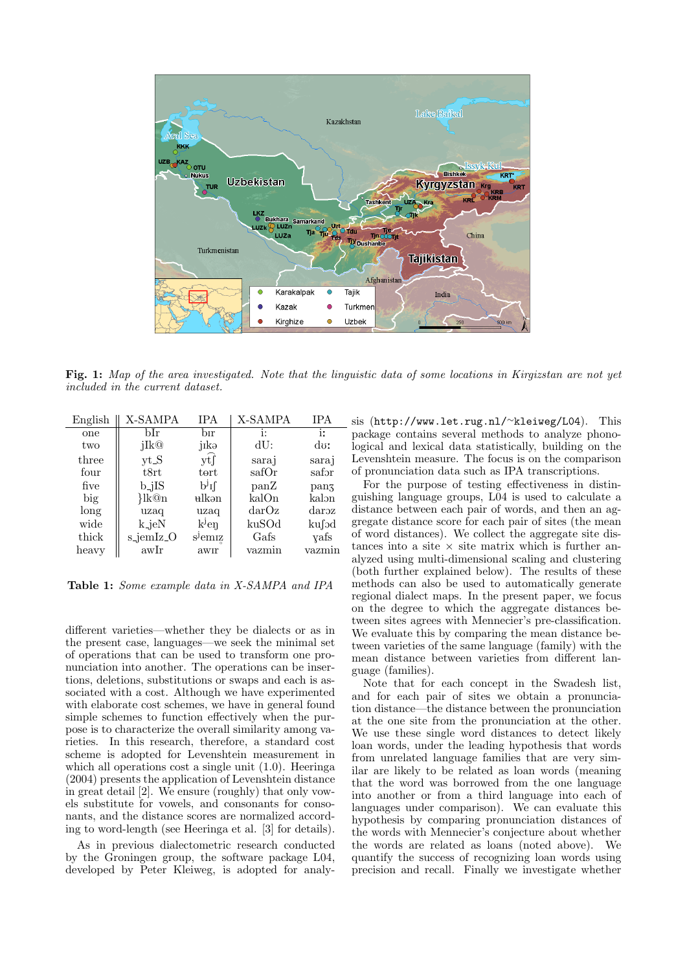

Fig. 1: Map of the area investigated. Note that the linguistic data of some locations in Kirgizstan are not yet included in the current dataset.

| English | X-SAMPA                               | <b>IPA</b>          | X-SAMPA      | <b>IPA</b> |
|---------|---------------------------------------|---------------------|--------------|------------|
| one     | bIr                                   | bіr                 | i:           | ir.        |
| two     | jIk@                                  | jıkə                | dU:          | do:        |
| three   | yt_S                                  | ytſ                 | saraj        | saraj      |
| four    | t8rt                                  | tert                | safOr        | safər      |
| five    | $b_{-j}$ IS                           | pil                 | panZ         | panz       |
| big     | $\frac{\mathrm{lk@n}}{\mathrm{lk@n}}$ | <del>u</del> lkən   | kalOn        | kalon      |
| long    | uzaq                                  | uzaq                | $\rm{darO}z$ | daroz      |
| wide    | $k$ <sub>-</sub> jeN                  | $kj$ en             | kuSOd        | kufod      |
| thick   | s <sub>-jemIz-O</sub>                 | s <sup>j</sup> emiz | Gafs         | yafs       |
| heavy   | awIr                                  | awır                | vazmın       | vazmın     |

Table 1: Some example data in X-SAMPA and IPA

different varieties—whether they be dialects or as in the present case, languages—we seek the minimal set of operations that can be used to transform one pronunciation into another. The operations can be insertions, deletions, substitutions or swaps and each is associated with a cost. Although we have experimented with elaborate cost schemes, we have in general found simple schemes to function effectively when the purpose is to characterize the overall similarity among varieties. In this research, therefore, a standard cost scheme is adopted for Levenshtein measurement in which all operations cost a single unit  $(1.0)$ . Heeringa (2004) presents the application of Levenshtein distance in great detail [2]. We ensure (roughly) that only vowels substitute for vowels, and consonants for consonants, and the distance scores are normalized according to word-length (see Heeringa et al. [3] for details).

As in previous dialectometric research conducted by the Groningen group, the software package L04, developed by Peter Kleiweg, is adopted for analysis (http://www.let.rug.nl/<sup>∼</sup>kleiweg/L04). This package contains several methods to analyze phonological and lexical data statistically, building on the Levenshtein measure. The focus is on the comparison of pronunciation data such as IPA transcriptions.

For the purpose of testing effectiveness in distinguishing language groups, L04 is used to calculate a distance between each pair of words, and then an aggregate distance score for each pair of sites (the mean of word distances). We collect the aggregate site distances into a site  $\times$  site matrix which is further analyzed using multi-dimensional scaling and clustering (both further explained below). The results of these methods can also be used to automatically generate regional dialect maps. In the present paper, we focus on the degree to which the aggregate distances between sites agrees with Mennecier's pre-classification. We evaluate this by comparing the mean distance between varieties of the same language (family) with the mean distance between varieties from different language (families).

Note that for each concept in the Swadesh list, and for each pair of sites we obtain a pronunciation distance—the distance between the pronunciation at the one site from the pronunciation at the other. We use these single word distances to detect likely loan words, under the leading hypothesis that words from unrelated language families that are very similar are likely to be related as loan words (meaning that the word was borrowed from the one language into another or from a third language into each of languages under comparison). We can evaluate this hypothesis by comparing pronunciation distances of the words with Mennecier's conjecture about whether the words are related as loans (noted above). We quantify the success of recognizing loan words using precision and recall. Finally we investigate whether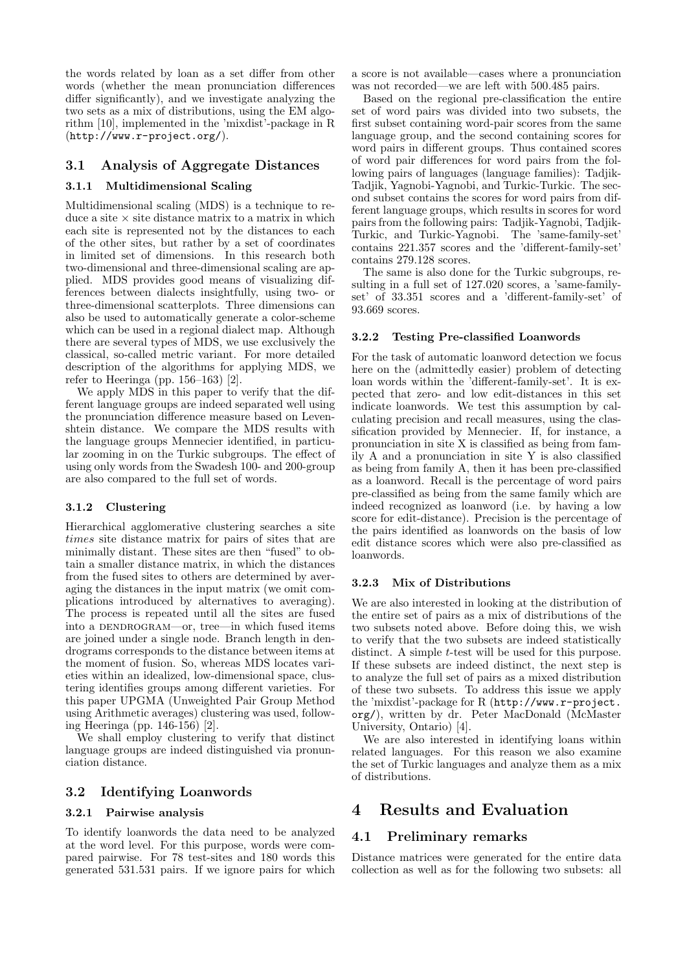the words related by loan as a set differ from other words (whether the mean pronunciation differences differ significantly), and we investigate analyzing the two sets as a mix of distributions, using the EM algorithm [10], implemented in the 'mixdist'-package in R (http://www.r-project.org/).

### 3.1 Analysis of Aggregate Distances

### 3.1.1 Multidimensional Scaling

Multidimensional scaling (MDS) is a technique to reduce a site  $\times$  site distance matrix to a matrix in which each site is represented not by the distances to each of the other sites, but rather by a set of coordinates in limited set of dimensions. In this research both two-dimensional and three-dimensional scaling are applied. MDS provides good means of visualizing differences between dialects insightfully, using two- or three-dimensional scatterplots. Three dimensions can also be used to automatically generate a color-scheme which can be used in a regional dialect map. Although there are several types of MDS, we use exclusively the classical, so-called metric variant. For more detailed description of the algorithms for applying MDS, we refer to Heeringa (pp. 156–163) [2].

We apply MDS in this paper to verify that the different language groups are indeed separated well using the pronunciation difference measure based on Levenshtein distance. We compare the MDS results with the language groups Mennecier identified, in particular zooming in on the Turkic subgroups. The effect of using only words from the Swadesh 100- and 200-group are also compared to the full set of words.

#### 3.1.2 Clustering

Hierarchical agglomerative clustering searches a site times site distance matrix for pairs of sites that are minimally distant. These sites are then "fused" to obtain a smaller distance matrix, in which the distances from the fused sites to others are determined by averaging the distances in the input matrix (we omit complications introduced by alternatives to averaging). The process is repeated until all the sites are fused into a DENDROGRAM—or, tree—in which fused items are joined under a single node. Branch length in dendrograms corresponds to the distance between items at the moment of fusion. So, whereas MDS locates varieties within an idealized, low-dimensional space, clustering identifies groups among different varieties. For this paper UPGMA (Unweighted Pair Group Method using Arithmetic averages) clustering was used, following Heeringa (pp. 146-156) [2].

We shall employ clustering to verify that distinct language groups are indeed distinguished via pronunciation distance.

### 3.2 Identifying Loanwords

### 3.2.1 Pairwise analysis

To identify loanwords the data need to be analyzed at the word level. For this purpose, words were compared pairwise. For 78 test-sites and 180 words this generated 531.531 pairs. If we ignore pairs for which a score is not available—cases where a pronunciation was not recorded—we are left with 500.485 pairs.

Based on the regional pre-classification the entire set of word pairs was divided into two subsets, the first subset containing word-pair scores from the same language group, and the second containing scores for word pairs in different groups. Thus contained scores of word pair differences for word pairs from the following pairs of languages (language families): Tadjik-Tadjik, Yagnobi-Yagnobi, and Turkic-Turkic. The second subset contains the scores for word pairs from different language groups, which results in scores for word pairs from the following pairs: Tadjik-Yagnobi, Tadjik-Turkic, and Turkic-Yagnobi. The 'same-family-set' contains 221.357 scores and the 'different-family-set' contains 279.128 scores.

The same is also done for the Turkic subgroups, resulting in a full set of 127.020 scores, a 'same-familyset' of 33.351 scores and a 'different-family-set' of 93.669 scores.

#### 3.2.2 Testing Pre-classified Loanwords

For the task of automatic loanword detection we focus here on the (admittedly easier) problem of detecting loan words within the 'different-family-set'. It is expected that zero- and low edit-distances in this set indicate loanwords. We test this assumption by calculating precision and recall measures, using the classification provided by Mennecier. If, for instance, a pronunciation in site X is classified as being from family A and a pronunciation in site Y is also classified as being from family A, then it has been pre-classified as a loanword. Recall is the percentage of word pairs pre-classified as being from the same family which are indeed recognized as loanword (i.e. by having a low score for edit-distance). Precision is the percentage of the pairs identified as loanwords on the basis of low edit distance scores which were also pre-classified as loanwords.

#### 3.2.3 Mix of Distributions

We are also interested in looking at the distribution of the entire set of pairs as a mix of distributions of the two subsets noted above. Before doing this, we wish to verify that the two subsets are indeed statistically distinct. A simple *t*-test will be used for this purpose. If these subsets are indeed distinct, the next step is to analyze the full set of pairs as a mixed distribution of these two subsets. To address this issue we apply the 'mixdist'-package for R (http://www.r-project. org/), written by dr. Peter MacDonald (McMaster University, Ontario) [4].

We are also interested in identifying loans within related languages. For this reason we also examine the set of Turkic languages and analyze them as a mix of distributions.

# 4 Results and Evaluation

### 4.1 Preliminary remarks

Distance matrices were generated for the entire data collection as well as for the following two subsets: all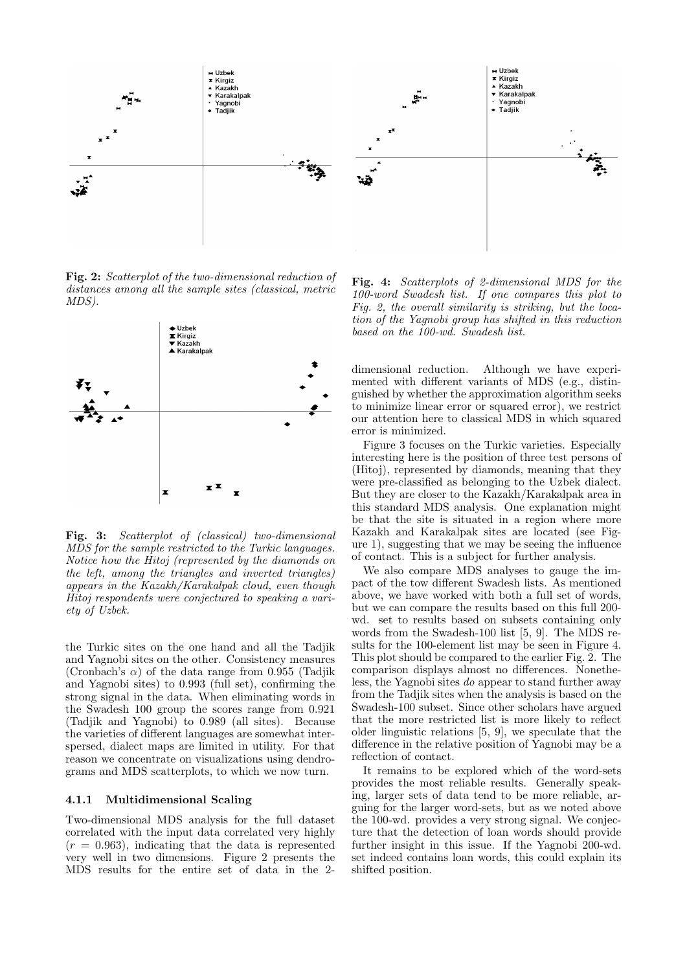

Fig. 2: Scatterplot of the two-dimensional reduction of distances among all the sample sites (classical, metric MDS).



Fig. 3: Scatterplot of (classical) two-dimensional MDS for the sample restricted to the Turkic languages. Notice how the Hitoj (represented by the diamonds on the left, among the triangles and inverted triangles) appears in the Kazakh/Karakalpak cloud, even though Hitoj respondents were conjectured to speaking a variety of Uzbek.

the Turkic sites on the one hand and all the Tadjik and Yagnobi sites on the other. Consistency measures (Cronbach's  $\alpha$ ) of the data range from 0.955 (Tadjik and Yagnobi sites) to 0.993 (full set), confirming the strong signal in the data. When eliminating words in the Swadesh 100 group the scores range from 0.921 (Tadjik and Yagnobi) to 0.989 (all sites). Because the varieties of different languages are somewhat interspersed, dialect maps are limited in utility. For that reason we concentrate on visualizations using dendrograms and MDS scatterplots, to which we now turn.

#### 4.1.1 Multidimensional Scaling

Two-dimensional MDS analysis for the full dataset correlated with the input data correlated very highly  $(r = 0.963)$ , indicating that the data is represented very well in two dimensions. Figure 2 presents the MDS results for the entire set of data in the 2-

Fig. 4: Scatterplots of 2-dimensional MDS for the 100-word Swadesh list. If one compares this plot to Fig. 2, the overall similarity is striking, but the location of the Yagnobi group has shifted in this reduction based on the 100-wd. Swadesh list.

dimensional reduction. Although we have experimented with different variants of MDS (e.g., distinguished by whether the approximation algorithm seeks to minimize linear error or squared error), we restrict our attention here to classical MDS in which squared error is minimized.

Figure 3 focuses on the Turkic varieties. Especially interesting here is the position of three test persons of (Hitoj), represented by diamonds, meaning that they were pre-classified as belonging to the Uzbek dialect. But they are closer to the Kazakh/Karakalpak area in this standard MDS analysis. One explanation might be that the site is situated in a region where more Kazakh and Karakalpak sites are located (see Figure 1), suggesting that we may be seeing the influence of contact. This is a subject for further analysis.

We also compare MDS analyses to gauge the impact of the tow different Swadesh lists. As mentioned above, we have worked with both a full set of words, but we can compare the results based on this full 200 wd. set to results based on subsets containing only words from the Swadesh-100 list [5, 9]. The MDS results for the 100-element list may be seen in Figure 4. This plot should be compared to the earlier Fig. 2. The comparison displays almost no differences. Nonetheless, the Yagnobi sites do appear to stand further away from the Tadjik sites when the analysis is based on the Swadesh-100 subset. Since other scholars have argued that the more restricted list is more likely to reflect older linguistic relations [5, 9], we speculate that the difference in the relative position of Yagnobi may be a reflection of contact.

It remains to be explored which of the word-sets provides the most reliable results. Generally speaking, larger sets of data tend to be more reliable, arguing for the larger word-sets, but as we noted above the 100-wd. provides a very strong signal. We conjecture that the detection of loan words should provide further insight in this issue. If the Yagnobi 200-wd. set indeed contains loan words, this could explain its shifted position.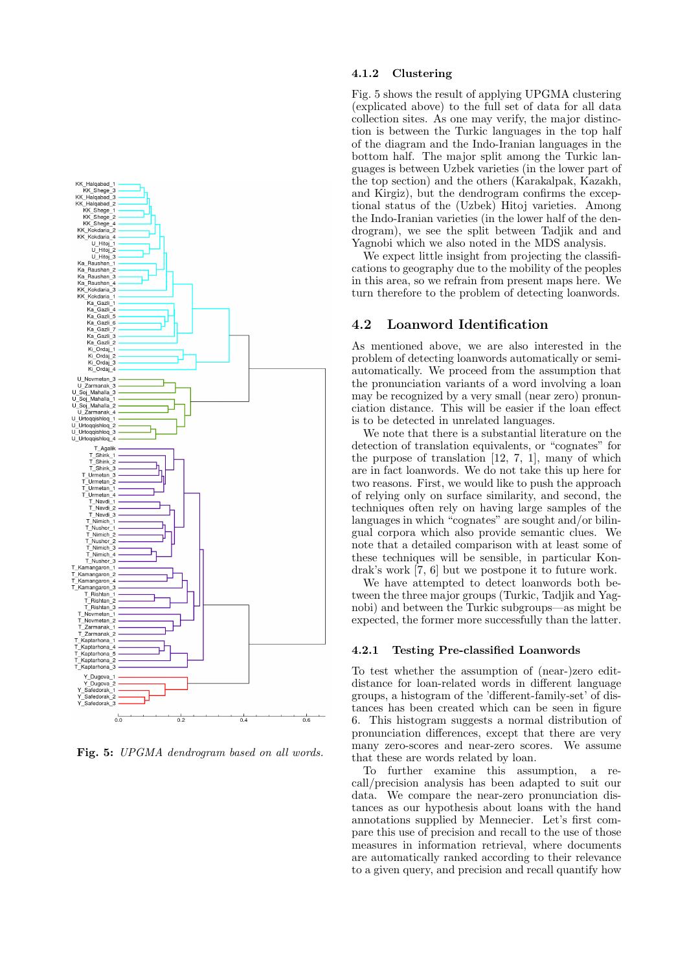

Fig. 5: UPGMA dendrogram based on all words.

#### 4.1.2 Clustering

Fig. 5 shows the result of applying UPGMA clustering (explicated above) to the full set of data for all data collection sites. As one may verify, the major distinction is between the Turkic languages in the top half of the diagram and the Indo-Iranian languages in the bottom half. The major split among the Turkic languages is between Uzbek varieties (in the lower part of the top section) and the others (Karakalpak, Kazakh, and Kirgiz), but the dendrogram confirms the exceptional status of the (Uzbek) Hitoj varieties. Among the Indo-Iranian varieties (in the lower half of the dendrogram), we see the split between Tadjik and and Yagnobi which we also noted in the MDS analysis.

We expect little insight from projecting the classifications to geography due to the mobility of the peoples in this area, so we refrain from present maps here. We turn therefore to the problem of detecting loanwords.

### 4.2 Loanword Identification

As mentioned above, we are also interested in the problem of detecting loanwords automatically or semiautomatically. We proceed from the assumption that the pronunciation variants of a word involving a loan may be recognized by a very small (near zero) pronunciation distance. This will be easier if the loan effect is to be detected in unrelated languages.

We note that there is a substantial literature on the detection of translation equivalents, or "cognates" for the purpose of translation [12, 7, 1], many of which are in fact loanwords. We do not take this up here for two reasons. First, we would like to push the approach of relying only on surface similarity, and second, the techniques often rely on having large samples of the languages in which "cognates" are sought and/or bilingual corpora which also provide semantic clues. We note that a detailed comparison with at least some of these techniques will be sensible, in particular Kondrak's work [7, 6] but we postpone it to future work.

We have attempted to detect loanwords both between the three major groups (Turkic, Tadjik and Yagnobi) and between the Turkic subgroups—as might be expected, the former more successfully than the latter.

#### 4.2.1 Testing Pre-classified Loanwords

To test whether the assumption of (near-)zero editdistance for loan-related words in different language groups, a histogram of the 'different-family-set' of distances has been created which can be seen in figure 6. This histogram suggests a normal distribution of pronunciation differences, except that there are very many zero-scores and near-zero scores. We assume that these are words related by loan.

To further examine this assumption, a recall/precision analysis has been adapted to suit our data. We compare the near-zero pronunciation distances as our hypothesis about loans with the hand annotations supplied by Mennecier. Let's first compare this use of precision and recall to the use of those measures in information retrieval, where documents are automatically ranked according to their relevance to a given query, and precision and recall quantify how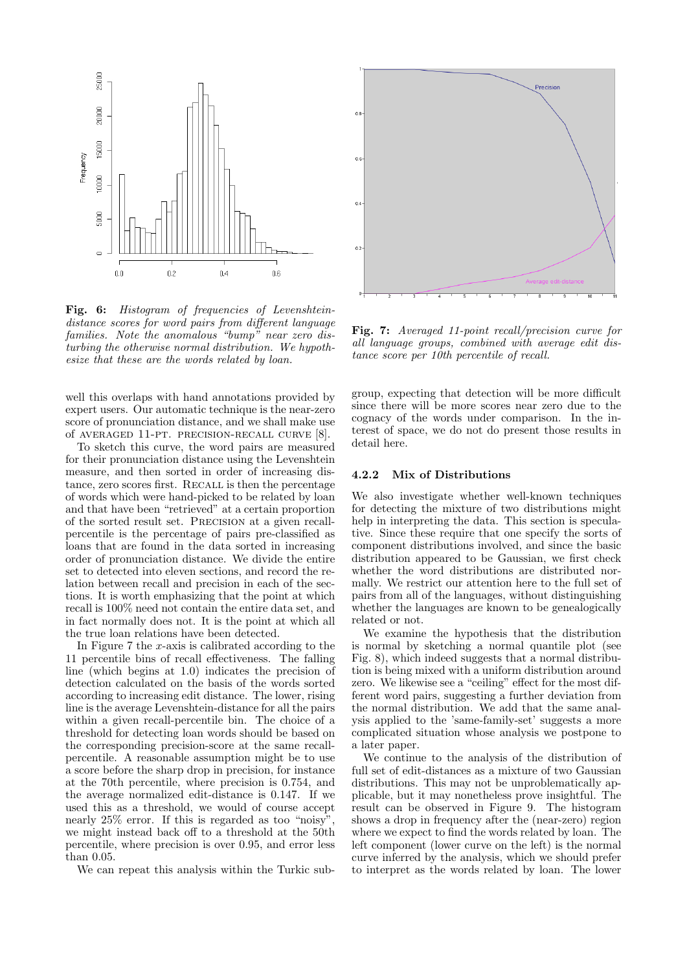

Fig. 6: Histogram of frequencies of Levenshteindistance scores for word pairs from different language families. Note the anomalous "bump" near zero disturbing the otherwise normal distribution. We hypothesize that these are the words related by loan.

well this overlaps with hand annotations provided by expert users. Our automatic technique is the near-zero score of pronunciation distance, and we shall make use of averaged 11-pt. precision-recall curve [8].

To sketch this curve, the word pairs are measured for their pronunciation distance using the Levenshtein measure, and then sorted in order of increasing distance, zero scores first. RECALL is then the percentage of words which were hand-picked to be related by loan and that have been "retrieved" at a certain proportion of the sorted result set. Precision at a given recallpercentile is the percentage of pairs pre-classified as loans that are found in the data sorted in increasing order of pronunciation distance. We divide the entire set to detected into eleven sections, and record the relation between recall and precision in each of the sections. It is worth emphasizing that the point at which recall is 100% need not contain the entire data set, and in fact normally does not. It is the point at which all the true loan relations have been detected.

In Figure 7 the x-axis is calibrated according to the 11 percentile bins of recall effectiveness. The falling line (which begins at 1.0) indicates the precision of detection calculated on the basis of the words sorted according to increasing edit distance. The lower, rising line is the average Levenshtein-distance for all the pairs within a given recall-percentile bin. The choice of a threshold for detecting loan words should be based on the corresponding precision-score at the same recallpercentile. A reasonable assumption might be to use a score before the sharp drop in precision, for instance at the 70th percentile, where precision is 0.754, and the average normalized edit-distance is 0.147. If we used this as a threshold, we would of course accept nearly 25% error. If this is regarded as too "noisy", we might instead back off to a threshold at the 50th percentile, where precision is over 0.95, and error less than 0.05.

We can repeat this analysis within the Turkic sub-



Fig. 7: Averaged 11-point recall/precision curve for all language groups, combined with average edit distance score per 10th percentile of recall.

group, expecting that detection will be more difficult since there will be more scores near zero due to the cognacy of the words under comparison. In the interest of space, we do not do present those results in detail here.

#### 4.2.2 Mix of Distributions

We also investigate whether well-known techniques for detecting the mixture of two distributions might help in interpreting the data. This section is speculative. Since these require that one specify the sorts of component distributions involved, and since the basic distribution appeared to be Gaussian, we first check whether the word distributions are distributed normally. We restrict our attention here to the full set of pairs from all of the languages, without distinguishing whether the languages are known to be genealogically related or not.

We examine the hypothesis that the distribution is normal by sketching a normal quantile plot (see Fig. 8), which indeed suggests that a normal distribution is being mixed with a uniform distribution around zero. We likewise see a "ceiling" effect for the most different word pairs, suggesting a further deviation from the normal distribution. We add that the same analysis applied to the 'same-family-set' suggests a more complicated situation whose analysis we postpone to a later paper.

We continue to the analysis of the distribution of full set of edit-distances as a mixture of two Gaussian distributions. This may not be unproblematically applicable, but it may nonetheless prove insightful. The result can be observed in Figure 9. The histogram shows a drop in frequency after the (near-zero) region where we expect to find the words related by loan. The left component (lower curve on the left) is the normal curve inferred by the analysis, which we should prefer to interpret as the words related by loan. The lower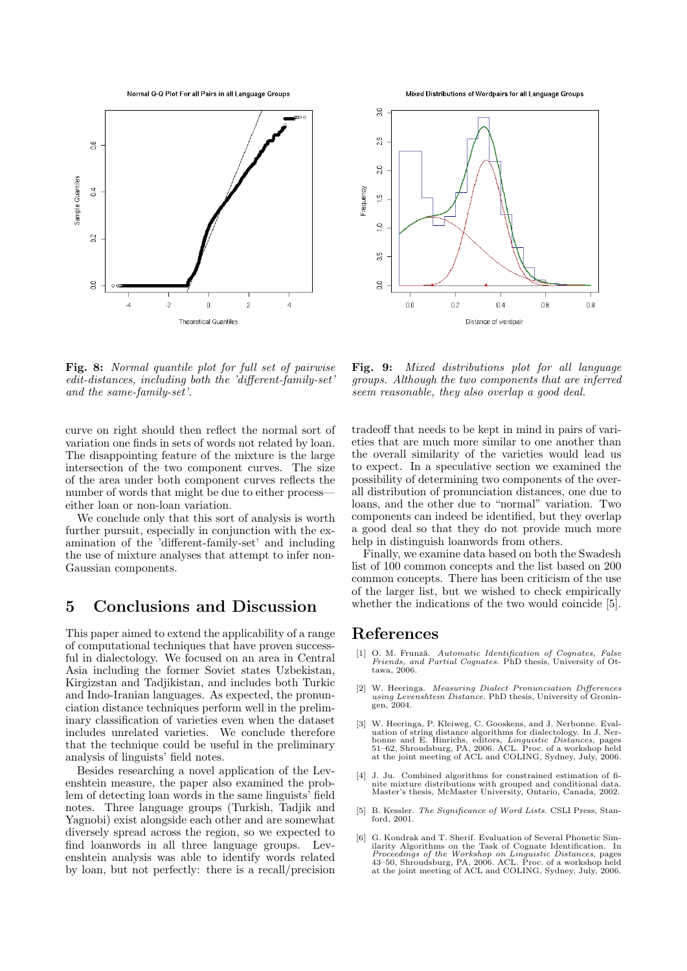Normal Q-Q Plot For all Pairs in all Language Groups



Mixed Distributions of Wordpairs for all Language Groups



Fig. 8: Normal quantile plot for full set of pairwise edit-distances, including both the 'different-family-set' and the same-family-set'.

curve on right should then reflect the normal sort of variation one finds in sets of words not related by loan. The disappointing feature of the mixture is the large intersection of the two component curves. The size of the area under both component curves reflects the number of words that might be due to either process either loan or non-loan variation.

We conclude only that this sort of analysis is worth further pursuit, especially in conjunction with the examination of the 'different-family-set' and including the use of mixture analyses that attempt to infer non-Gaussian components.

# 5 Conclusions and Discussion

This paper aimed to extend the applicability of a range of computational techniques that have proven successful in dialectology. We focused on an area in Central Asia including the former Soviet states Uzbekistan, Kirgizstan and Tadjikistan, and includes both Turkic and Indo-Iranian languages. As expected, the pronunciation distance techniques perform well in the preliminary classification of varieties even when the dataset includes unrelated varieties. We conclude therefore that the technique could be useful in the preliminary analysis of linguists' field notes.

Besides researching a novel application of the Levenshtein measure, the paper also examined the problem of detecting loan words in the same linguists' field notes. Three language groups (Turkish, Tadjik and Yagnobi) exist alongside each other and are somewhat diversely spread across the region, so we expected to find loanwords in all three language groups. Levenshtein analysis was able to identify words related by loan, but not perfectly: there is a recall/precision

Fig. 9: Mixed distributions plot for all language groups. Although the two components that are inferred seem reasonable, they also overlap a good deal.

tradeoff that needs to be kept in mind in pairs of varieties that are much more similar to one another than the overall similarity of the varieties would lead us to expect. In a speculative section we examined the possibility of determining two components of the overall distribution of pronunciation distances, one due to loans, and the other due to "normal" variation. Two components can indeed be identified, but they overlap a good deal so that they do not provide much more help in distinguish loanwords from others.

Finally, we examine data based on both the Swadesh list of 100 common concepts and the list based on 200 common concepts. There has been criticism of the use of the larger list, but we wished to check empirically whether the indications of the two would coincide [5].

# References

- [1] O. M. Frunză. Automatic Identification of Cognates, False<br>Friends, and Partial Cognates. PhD thesis, University of Ottawa, 2006.
- [2] W. Heeringa. Measuring Dialect Pronunciation Differences using Levenshtein Distance. PhD thesis, University of Groningen, 2004.
- [3] W. Heeringa, P. Kleiweg, C. Gooskens, and J. Nerbonne. Evaluation of string distance algorithms for dialectology. In J. Ner-<br>bonne and E. Hinrichs, editors, *Linguistic Distances*, pages<br>51–62, Shroudsburg, PA, 2006. ACL. Proc. of a workshop held at the joint meeting of ACL and COLING, Sydney, July, 2006.
- [4] J. Ju. Combined algorithms for constrained estimation of finite mixture distributions with grouped and conditional data. Master's thesis, McMaster University, Ontario, Canada, 2002.
- [5] B. Kessler. The Significance of Word Lists. CSLI Press, Stan-ford, 2001.
- [6] G. Kondrak and T. Sherif. Evaluation of Several Phonetic Similarity Algorithms on the Task of Cognate Identification. In<br>*Proceedings of the Workshop on Linguistic Distances*, pages<br>43-50, Shroudsburg, PA, 2006. ACL Froc. of a workshop held<br>at the joint meeting of ACL and COLING, S